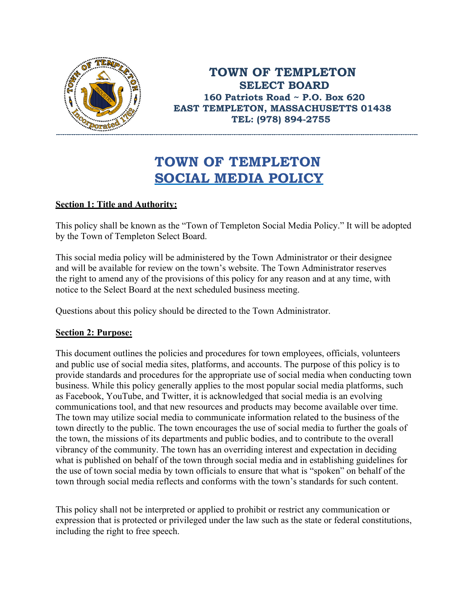

**TOWN OF TEMPLETON SELECT BOARD 160 Patriots Road ~ P.O. Box 620 EAST TEMPLETON, MASSACHUSETTS 01438 TEL: (978) 894-2755**

# **TOWN OF TEMPLETON SOCIAL MEDIA POLICY**

# **Section 1: Title and Authority:**

This policy shall be known as the "Town of Templeton Social Media Policy." It will be adopted by the Town of Templeton Select Board.

This social media policy will be administered by the Town Administrator or their designee and will be available for review on the town's website. The Town Administrator reserves the right to amend any of the provisions of this policy for any reason and at any time, with notice to the Select Board at the next scheduled business meeting.

Questions about this policy should be directed to the Town Administrator.

## **Section 2: Purpose:**

This document outlines the policies and procedures for town employees, officials, volunteers and public use of social media sites, platforms, and accounts. The purpose of this policy is to provide standards and procedures for the appropriate use of social media when conducting town business. While this policy generally applies to the most popular social media platforms, such as Facebook, YouTube, and Twitter, it is acknowledged that social media is an evolving communications tool, and that new resources and products may become available over time. The town may utilize social media to communicate information related to the business of the town directly to the public. The town encourages the use of social media to further the goals of the town, the missions of its departments and public bodies, and to contribute to the overall vibrancy of the community. The town has an overriding interest and expectation in deciding what is published on behalf of the town through social media and in establishing guidelines for the use of town social media by town officials to ensure that what is "spoken" on behalf of the town through social media reflects and conforms with the town's standards for such content.

This policy shall not be interpreted or applied to prohibit or restrict any communication or expression that is protected or privileged under the law such as the state or federal constitutions, including the right to free speech.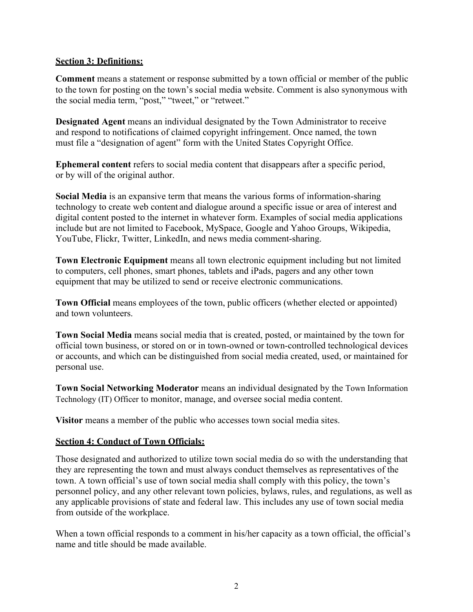#### **Section 3: Definitions:**

**Comment** means a statement or response submitted by a town official or member of the public to the town for posting on the town's social media website. Comment is also synonymous with the social media term, "post," "tweet," or "retweet."

**Designated Agent** means an individual designated by the Town Administrator to receive and respond to notifications of claimed copyright infringement. Once named, the town must file a "designation of agent" form with the United States Copyright Office.

**Ephemeral content** refers to social media content that disappears after a specific period, or by will of the original author.

**Social Media** is an expansive term that means the various forms of information-sharing technology to create web content and dialogue around a specific issue or area of interest and digital content posted to the internet in whatever form. Examples of social media applications include but are not limited to Facebook, MySpace, Google and Yahoo Groups, Wikipedia, YouTube, Flickr, Twitter, LinkedIn, and news media comment-sharing.

**Town Electronic Equipment** means all town electronic equipment including but not limited to computers, cell phones, smart phones, tablets and iPads, pagers and any other town equipment that may be utilized to send or receive electronic communications.

**Town Official** means employees of the town, public officers (whether elected or appointed) and town volunteers.

**Town Social Media** means social media that is created, posted, or maintained by the town for official town business, or stored on or in town-owned or town-controlled technological devices or accounts, and which can be distinguished from social media created, used, or maintained for personal use.

**Town Social Networking Moderator** means an individual designated by the Town Information Technology (IT) Officer to monitor, manage, and oversee social media content.

**Visitor** means a member of the public who accesses town social media sites.

## **Section 4: Conduct of Town Officials:**

Those designated and authorized to utilize town social media do so with the understanding that they are representing the town and must always conduct themselves as representatives of the town. A town official's use of town social media shall comply with this policy, the town's personnel policy, and any other relevant town policies, bylaws, rules, and regulations, as well as any applicable provisions of state and federal law. This includes any use of town social media from outside of the workplace.

When a town official responds to a comment in his/her capacity as a town official, the official's name and title should be made available.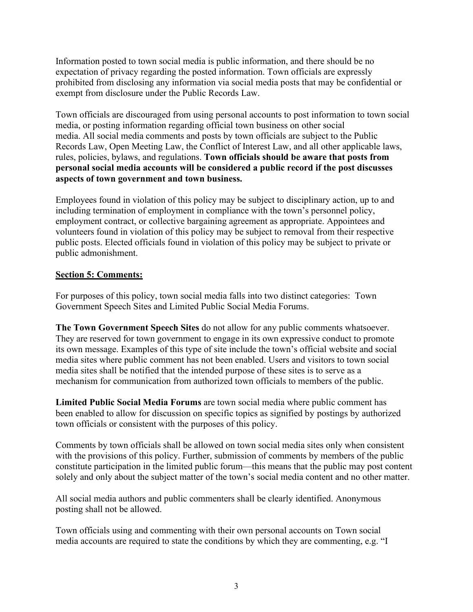Information posted to town social media is public information, and there should be no expectation of privacy regarding the posted information. Town officials are expressly prohibited from disclosing any information via social media posts that may be confidential or exempt from disclosure under the Public Records Law.

Town officials are discouraged from using personal accounts to post information to town social media, or posting information regarding official town business on other social media. All social media comments and posts by town officials are subject to the Public Records Law, Open Meeting Law, the Conflict of Interest Law, and all other applicable laws, rules, policies, bylaws, and regulations. **Town officials should be aware that posts from personal social media accounts will be considered a public record if the post discusses aspects of town government and town business.** 

Employees found in violation of this policy may be subject to disciplinary action, up to and including termination of employment in compliance with the town's personnel policy, employment contract, or collective bargaining agreement as appropriate. Appointees and volunteers found in violation of this policy may be subject to removal from their respective public posts. Elected officials found in violation of this policy may be subject to private or public admonishment.

## **Section 5: Comments:**

For purposes of this policy, town social media falls into two distinct categories: Town Government Speech Sites and Limited Public Social Media Forums.

**The Town Government Speech Sites** do not allow for any public comments whatsoever. They are reserved for town government to engage in its own expressive conduct to promote its own message. Examples of this type of site include the town's official website and social media sites where public comment has not been enabled. Users and visitors to town social media sites shall be notified that the intended purpose of these sites is to serve as a mechanism for communication from authorized town officials to members of the public.

**Limited Public Social Media Forums** are town social media where public comment has been enabled to allow for discussion on specific topics as signified by postings by authorized town officials or consistent with the purposes of this policy.

Comments by town officials shall be allowed on town social media sites only when consistent with the provisions of this policy. Further, submission of comments by members of the public constitute participation in the limited public forum—this means that the public may post content solely and only about the subject matter of the town's social media content and no other matter.

All social media authors and public commenters shall be clearly identified. Anonymous posting shall not be allowed.

Town officials using and commenting with their own personal accounts on Town social media accounts are required to state the conditions by which they are commenting, e.g. "I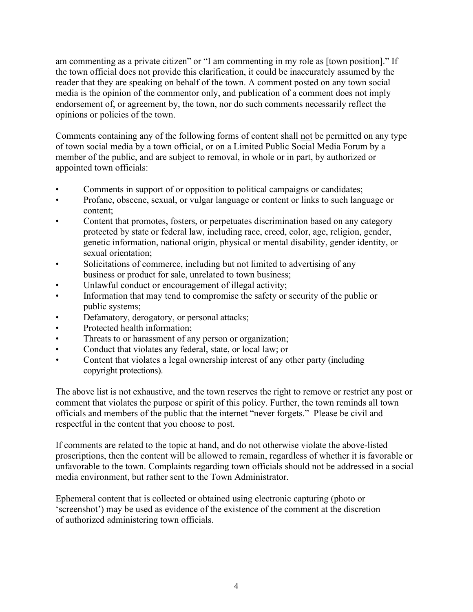am commenting as a private citizen" or "I am commenting in my role as [town position]." If the town official does not provide this clarification, it could be inaccurately assumed by the reader that they are speaking on behalf of the town. A comment posted on any town social media is the opinion of the commentor only, and publication of a comment does not imply endorsement of, or agreement by, the town, nor do such comments necessarily reflect the opinions or policies of the town.

Comments containing any of the following forms of content shall not be permitted on any type of town social media by a town official, or on a Limited Public Social Media Forum by a member of the public, and are subject to removal, in whole or in part, by authorized or appointed town officials:

- Comments in support of or opposition to political campaigns or candidates;
- Profane, obscene, sexual, or vulgar language or content or links to such language or content;
- Content that promotes, fosters, or perpetuates discrimination based on any category protected by state or federal law, including race, creed, color, age, religion, gender, genetic information, national origin, physical or mental disability, gender identity, or sexual orientation;
- Solicitations of commerce, including but not limited to advertising of any business or product for sale, unrelated to town business;
- Unlawful conduct or encouragement of illegal activity;
- Information that may tend to compromise the safety or security of the public or public systems;
- Defamatory, derogatory, or personal attacks;
- Protected health information;
- Threats to or harassment of any person or organization;
- Conduct that violates any federal, state, or local law; or
- Content that violates a legal ownership interest of any other party (including copyright protections).

The above list is not exhaustive, and the town reserves the right to remove or restrict any post or comment that violates the purpose or spirit of this policy. Further, the town reminds all town officials and members of the public that the internet "never forgets." Please be civil and respectful in the content that you choose to post.

If comments are related to the topic at hand, and do not otherwise violate the above-listed proscriptions, then the content will be allowed to remain, regardless of whether it is favorable or unfavorable to the town. Complaints regarding town officials should not be addressed in a social media environment, but rather sent to the Town Administrator.

Ephemeral content that is collected or obtained using electronic capturing (photo or 'screenshot') may be used as evidence of the existence of the comment at the discretion of authorized administering town officials.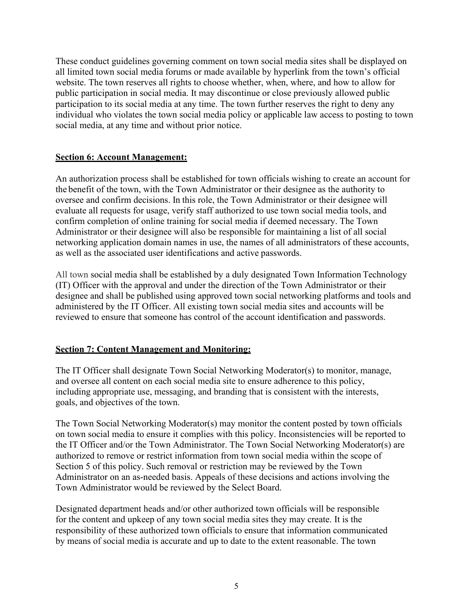These conduct guidelines governing comment on town social media sites shall be displayed on all limited town social media forums or made available by hyperlink from the town's official website. The town reserves all rights to choose whether, when, where, and how to allow for public participation in social media. It may discontinue or close previously allowed public participation to its social media at any time. The town further reserves the right to deny any individual who violates the town social media policy or applicable law access to posting to town social media, at any time and without prior notice.

## **Section 6: Account Management:**

An authorization process shall be established for town officials wishing to create an account for the benefit of the town, with the Town Administrator or their designee as the authority to oversee and confirm decisions. In this role, the Town Administrator or their designee will evaluate all requests for usage, verify staff authorized to use town social media tools, and confirm completion of online training for social media if deemed necessary. The Town Administrator or their designee will also be responsible for maintaining a list of all social networking application domain names in use, the names of all administrators of these accounts, as well as the associated user identifications and active passwords.

All town social media shall be established by a duly designated Town Information Technology (IT) Officer with the approval and under the direction of the Town Administrator or their designee and shall be published using approved town social networking platforms and tools and administered by the IT Officer. All existing town social media sites and accounts will be reviewed to ensure that someone has control of the account identification and passwords.

# **Section 7: Content Management and Monitoring:**

The IT Officer shall designate Town Social Networking Moderator(s) to monitor, manage, and oversee all content on each social media site to ensure adherence to this policy, including appropriate use, messaging, and branding that is consistent with the interests, goals, and objectives of the town.

The Town Social Networking Moderator(s) may monitor the content posted by town officials on town social media to ensure it complies with this policy. Inconsistencies will be reported to the IT Officer and/or the Town Administrator. The Town Social Networking Moderator(s) are authorized to remove or restrict information from town social media within the scope of Section 5 of this policy. Such removal or restriction may be reviewed by the Town Administrator on an as-needed basis. Appeals of these decisions and actions involving the Town Administrator would be reviewed by the Select Board.

Designated department heads and/or other authorized town officials will be responsible for the content and upkeep of any town social media sites they may create. It is the responsibility of these authorized town officials to ensure that information communicated by means of social media is accurate and up to date to the extent reasonable. The town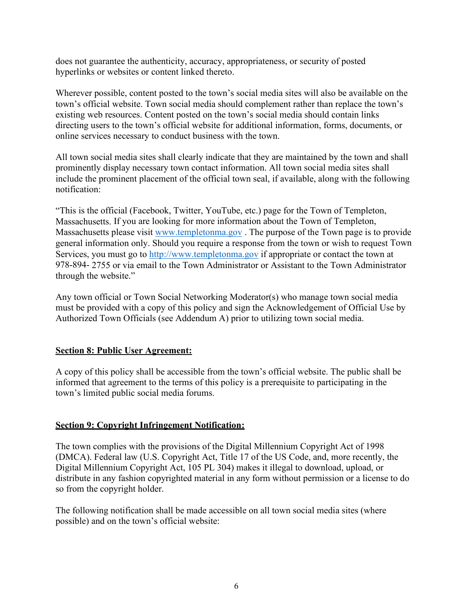does not guarantee the authenticity, accuracy, appropriateness, or security of posted hyperlinks or websites or content linked thereto.

Wherever possible, content posted to the town's social media sites will also be available on the town's official website. Town social media should complement rather than replace the town's existing web resources. Content posted on the town's social media should contain links directing users to the town's official website for additional information, forms, documents, or online services necessary to conduct business with the town.

All town social media sites shall clearly indicate that they are maintained by the town and shall prominently display necessary town contact information. All town social media sites shall include the prominent placement of the official town seal, if available, along with the following notification:

"This is the official (Facebook, Twitter, YouTube, etc.) page for the Town of Templeton, Massachusetts. If you are looking for more information about the Town of Templeton, Massachusetts please visit [www.templetonma.gov](http://www.templetonma.gov./) . The purpose of the Town page is to provide general information only. Should you require a response from the town or wish to request Town Services, you must go to [http://www.templetonma.gov](http://www.templetonma.gov/) if appropriate or contact the town at 978-894- 2755 or via email to the Town Administrator or Assistant to the Town Administrator through the website."

Any town official or Town Social Networking Moderator(s) who manage town social media must be provided with a copy of this policy and sign the Acknowledgement of Official Use by Authorized Town Officials (see Addendum A) prior to utilizing town social media.

## **Section 8: Public User Agreement:**

A copy of this policy shall be accessible from the town's official website. The public shall be informed that agreement to the terms of this policy is a prerequisite to participating in the town's limited public social media forums.

## **Section 9: Copyright Infringement Notification:**

The town complies with the provisions of the Digital Millennium Copyright Act of 1998 (DMCA). Federal law (U.S. Copyright Act, Title 17 of the US Code, and, more recently, the Digital Millennium Copyright Act, 105 PL 304) makes it illegal to download, upload, or distribute in any fashion copyrighted material in any form without permission or a license to do so from the copyright holder.

The following notification shall be made accessible on all town social media sites (where possible) and on the town's official website: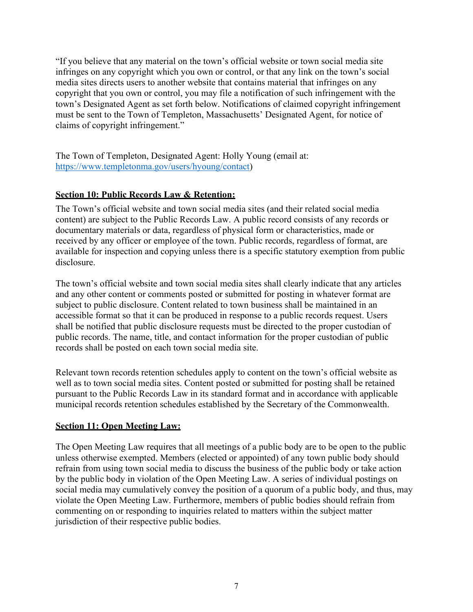"If you believe that any material on the town's official website or town social media site infringes on any copyright which you own or control, or that any link on the town's social media sites directs users to another website that contains material that infringes on any copyright that you own or control, you may file a notification of such infringement with the town's Designated Agent as set forth below. Notifications of claimed copyright infringement must be sent to the Town of Templeton, Massachusetts' Designated Agent, for notice of claims of copyright infringement."

The Town of Templeton, Designated Agent: Holly Young (email at: [https://www.templetonma.gov/users/hyoung/contact\)](https://www.templetonma.gov/users/hyoung/contact)

## **Section 10: Public Records Law & Retention:**

The Town's official website and town social media sites (and their related social media content) are subject to the Public Records Law. A public record consists of any records or documentary materials or data, regardless of physical form or characteristics, made or received by any officer or employee of the town. Public records, regardless of format, are available for inspection and copying unless there is a specific statutory exemption from public disclosure.

The town's official website and town social media sites shall clearly indicate that any articles and any other content or comments posted or submitted for posting in whatever format are subject to public disclosure. Content related to town business shall be maintained in an accessible format so that it can be produced in response to a public records request. Users shall be notified that public disclosure requests must be directed to the proper custodian of public records. The name, title, and contact information for the proper custodian of public records shall be posted on each town social media site.

Relevant town records retention schedules apply to content on the town's official website as well as to town social media sites. Content posted or submitted for posting shall be retained pursuant to the Public Records Law in its standard format and in accordance with applicable municipal records retention schedules established by the Secretary of the Commonwealth.

## **Section 11: Open Meeting Law:**

The Open Meeting Law requires that all meetings of a public body are to be open to the public unless otherwise exempted. Members (elected or appointed) of any town public body should refrain from using town social media to discuss the business of the public body or take action by the public body in violation of the Open Meeting Law. A series of individual postings on social media may cumulatively convey the position of a quorum of a public body, and thus, may violate the Open Meeting Law. Furthermore, members of public bodies should refrain from commenting on or responding to inquiries related to matters within the subject matter jurisdiction of their respective public bodies.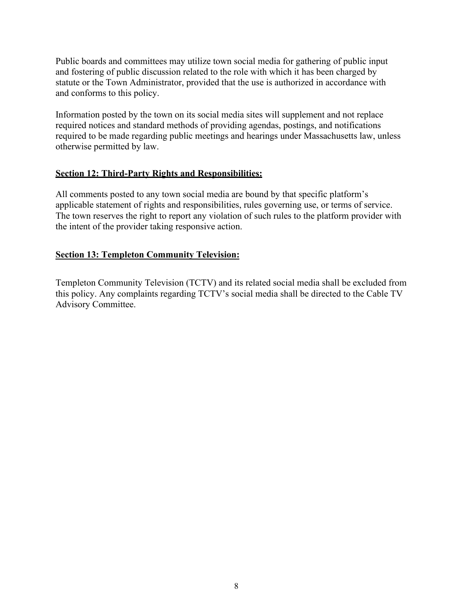Public boards and committees may utilize town social media for gathering of public input and fostering of public discussion related to the role with which it has been charged by statute or the Town Administrator, provided that the use is authorized in accordance with and conforms to this policy.

Information posted by the town on its social media sites will supplement and not replace required notices and standard methods of providing agendas, postings, and notifications required to be made regarding public meetings and hearings under Massachusetts law, unless otherwise permitted by law.

#### **Section 12: Third-Party Rights and Responsibilities:**

All comments posted to any town social media are bound by that specific platform's applicable statement of rights and responsibilities, rules governing use, or terms of service. The town reserves the right to report any violation of such rules to the platform provider with the intent of the provider taking responsive action.

#### **Section 13: Templeton Community Television:**

Templeton Community Television (TCTV) and its related social media shall be excluded from this policy. Any complaints regarding TCTV's social media shall be directed to the Cable TV Advisory Committee.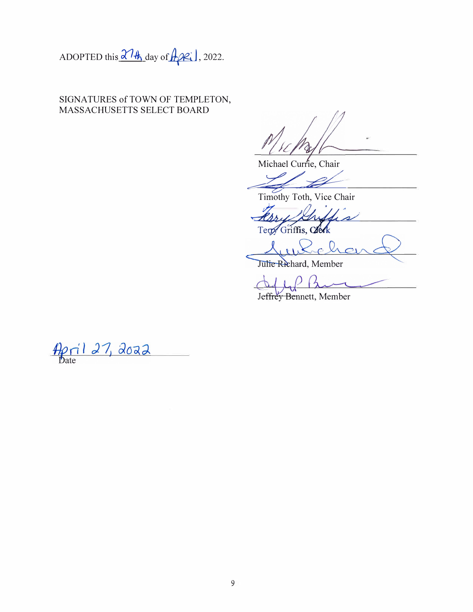ADOPTED this  $\frac{\partial \mathcal{H}_h}{\partial \mathbf{a}}$  day of  $\mathcal{H}_h$  2022.

SIGNATURES of TOWN OF TEMPLETON, MASSACHUSETTS SELECT BOARD

A

Michael Currie, Chair

Timothy Toth, Vice Chair

Proud Teny Griffis, Clerk

Julie Richard, Member

Jeffrey Bennett, Member

 $\frac{A\rho_1(127, 2022)}{2}$